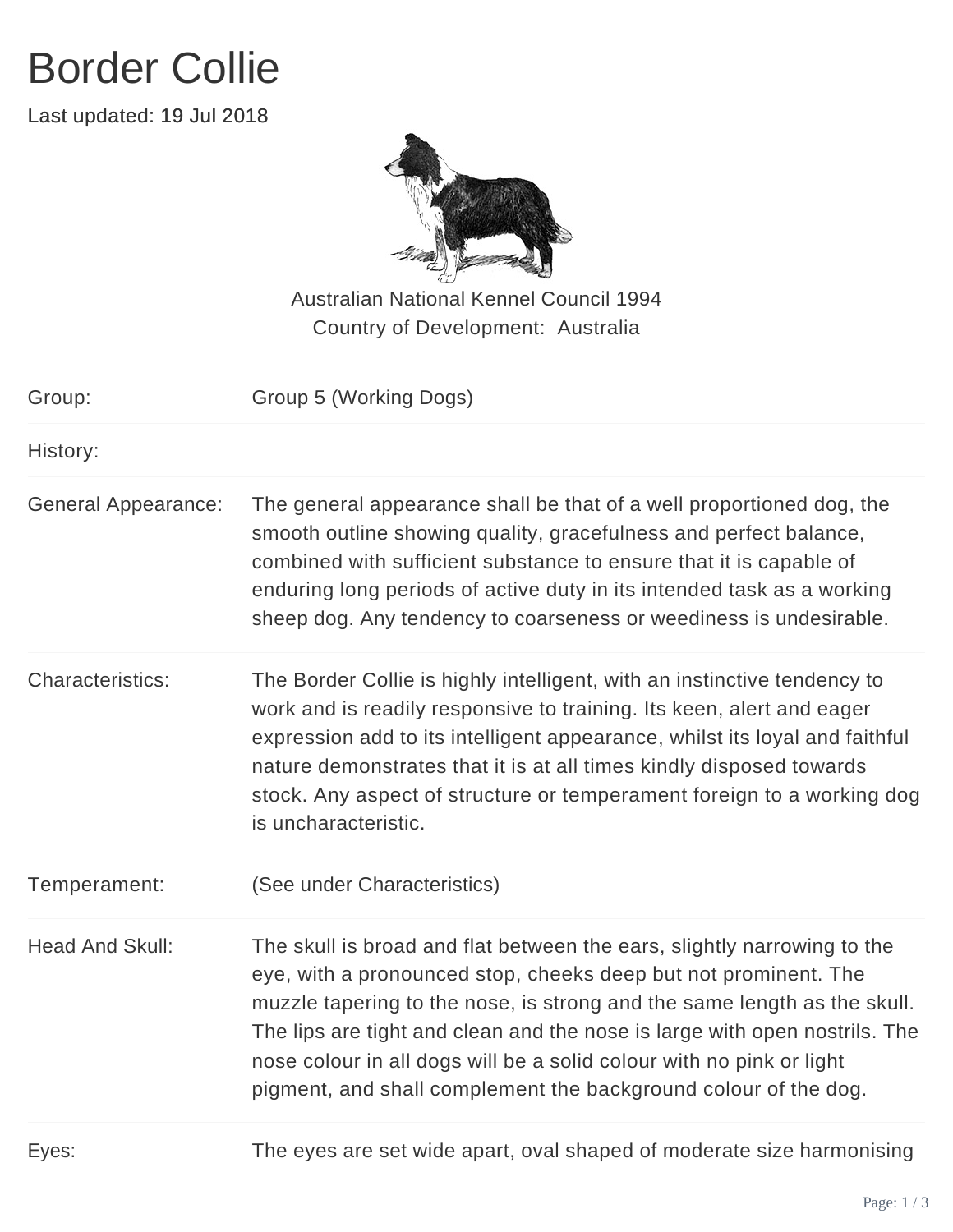## Border Collie

Last updated: 19 Jul 2018



Australian National Kennel Council 1994 Country of Development: Australia

| Group:                     | Group 5 (Working Dogs)                                                                                                                                                                                                                                                                                                                                                                                                                          |
|----------------------------|-------------------------------------------------------------------------------------------------------------------------------------------------------------------------------------------------------------------------------------------------------------------------------------------------------------------------------------------------------------------------------------------------------------------------------------------------|
| History:                   |                                                                                                                                                                                                                                                                                                                                                                                                                                                 |
| <b>General Appearance:</b> | The general appearance shall be that of a well proportioned dog, the<br>smooth outline showing quality, gracefulness and perfect balance,<br>combined with sufficient substance to ensure that it is capable of<br>enduring long periods of active duty in its intended task as a working<br>sheep dog. Any tendency to coarseness or weediness is undesirable.                                                                                 |
| <b>Characteristics:</b>    | The Border Collie is highly intelligent, with an instinctive tendency to<br>work and is readily responsive to training. Its keen, alert and eager<br>expression add to its intelligent appearance, whilst its loyal and faithful<br>nature demonstrates that it is at all times kindly disposed towards<br>stock. Any aspect of structure or temperament foreign to a working dog<br>is uncharacteristic.                                       |
| Temperament:               | (See under Characteristics)                                                                                                                                                                                                                                                                                                                                                                                                                     |
| <b>Head And Skull:</b>     | The skull is broad and flat between the ears, slightly narrowing to the<br>eye, with a pronounced stop, cheeks deep but not prominent. The<br>muzzle tapering to the nose, is strong and the same length as the skull.<br>The lips are tight and clean and the nose is large with open nostrils. The<br>nose colour in all dogs will be a solid colour with no pink or light<br>pigment, and shall complement the background colour of the dog. |
|                            | $\sim$ . The state of the state of the state of the state of the state of the state of the state of the state of the state of the state of the state of the state of the state of the state of the state of the state of the st                                                                                                                                                                                                                 |

Eyes: The eyes are set wide apart, oval shaped of moderate size harmonising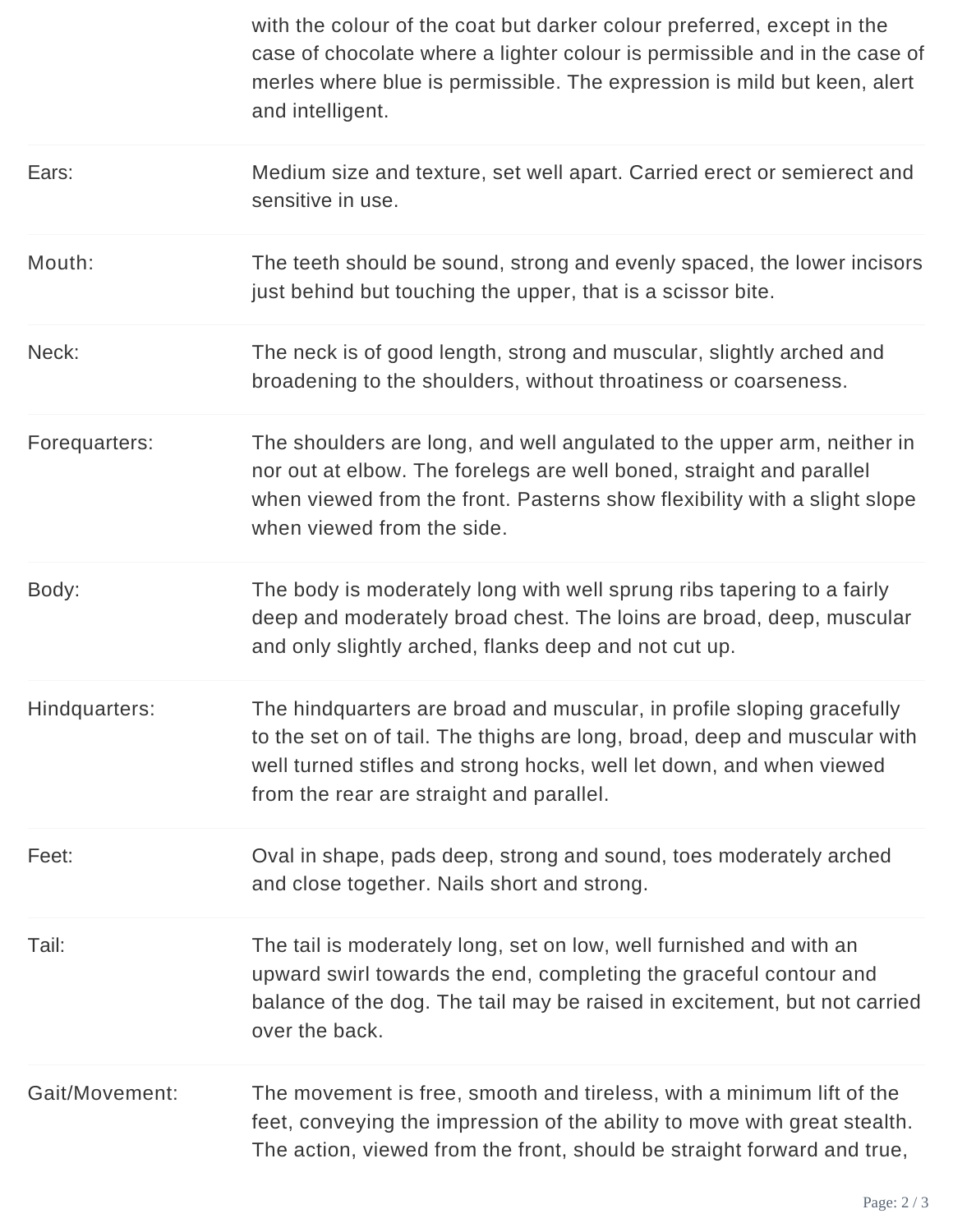|                | with the colour of the coat but darker colour preferred, except in the<br>case of chocolate where a lighter colour is permissible and in the case of<br>merles where blue is permissible. The expression is mild but keen, alert<br>and intelligent.                    |
|----------------|-------------------------------------------------------------------------------------------------------------------------------------------------------------------------------------------------------------------------------------------------------------------------|
| Ears:          | Medium size and texture, set well apart. Carried erect or semierect and<br>sensitive in use.                                                                                                                                                                            |
| Mouth:         | The teeth should be sound, strong and evenly spaced, the lower incisors<br>just behind but touching the upper, that is a scissor bite.                                                                                                                                  |
| Neck:          | The neck is of good length, strong and muscular, slightly arched and<br>broadening to the shoulders, without throatiness or coarseness.                                                                                                                                 |
| Forequarters:  | The shoulders are long, and well angulated to the upper arm, neither in<br>nor out at elbow. The forelegs are well boned, straight and parallel<br>when viewed from the front. Pasterns show flexibility with a slight slope<br>when viewed from the side.              |
| Body:          | The body is moderately long with well sprung ribs tapering to a fairly<br>deep and moderately broad chest. The loins are broad, deep, muscular<br>and only slightly arched, flanks deep and not cut up.                                                                 |
| Hindquarters:  | The hindquarters are broad and muscular, in profile sloping gracefully<br>to the set on of tail. The thighs are long, broad, deep and muscular with<br>well turned stifles and strong hocks, well let down, and when viewed<br>from the rear are straight and parallel. |
| Feet:          | Oval in shape, pads deep, strong and sound, toes moderately arched<br>and close together. Nails short and strong.                                                                                                                                                       |
| Tail:          | The tail is moderately long, set on low, well furnished and with an<br>upward swirl towards the end, completing the graceful contour and<br>balance of the dog. The tail may be raised in excitement, but not carried<br>over the back.                                 |
| Gait/Movement: | The movement is free, smooth and tireless, with a minimum lift of the<br>feet, conveying the impression of the ability to move with great stealth.<br>The action, viewed from the front, should be straight forward and true,                                           |